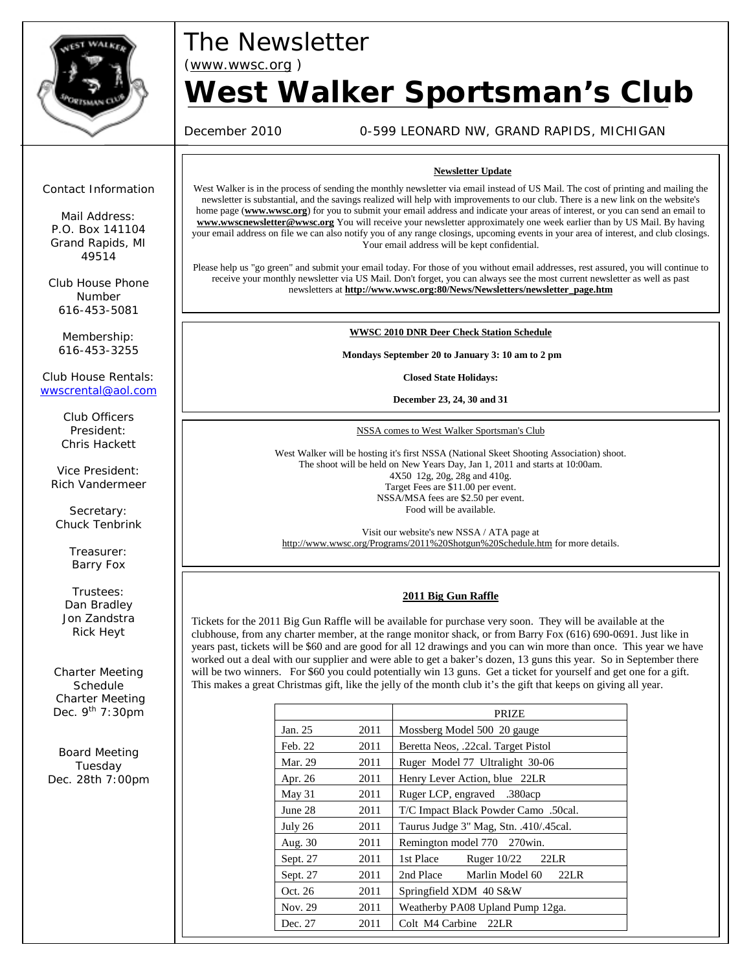

# *The Newsletter*

*(www.wwsc.org )*

# *West Walker Sportsman's Club*

December 2010 0-599 LEONARD NW, GRAND RAPIDS, MICHIGAN

#### *Contact Information*

*Mail Address: P.O. Box 141104 Grand Rapids, MI 49514*

*Club House Phone Number 616-453-5081*

*Membership: 616-453-3255*

*Club House Rentals:* wwscrental@aol.com

> *Club Officers President: Chris Hackett*

*Vice President: Rich Vandermeer*

*Secretary: Chuck Tenbrink*

> *Treasurer: Barry Fox*

*Trustees: Dan Bradley Jon Zandstra Rick Heyt*

*Charter Meeting Schedule Charter Meeting Dec. 9th 7:30pm*

*Board Meeting Tuesday Dec. 28th 7:00pm*

#### **Newsletter Update**

West Walker is in the process of sending the monthly newsletter via email instead of US Mail. The cost of printing and mailing the newsletter is substantial, and the savings realized will help with improvements to our club. There is a new link on the website's home page (**www.wwsc.org**) for you to submit your email address and indicate your areas of interest, or you can send an email to **www.wwscnewsletter@wwsc.org** You will receive your newsletter approximately one week earlier than by US Mail. By having your email address on file we can also notify you of any range closings, upcoming events in your area of interest, and club closings. Your email address will be kept confidential.

Please help us "go green" and submit your email today. For those of you without email addresses, rest assured, you will continue to receive your monthly newsletter via US Mail. Don't forget, you can always see the most current newsletter as well as past newsletters at **http://www.wwsc.org:80/News/Newsletters/newsletter\_page.htm**

#### **WWSC 2010 DNR Deer Check Station Schedule**

**Mondays September 20 to January 3: 10 am to 2 pm**

**Closed State Holidays:**

**December 23, 24, 30 and 31**

NSSA comes to West Walker Sportsman's Club

West Walker will be hosting it's first NSSA (National Skeet Shooting Association) shoot. The shoot will be held on New Years Day, Jan 1, 2011 and starts at 10:00am. 4X50 12g, 20g, 28g and 410g. Target Fees are \$11.00 per event. NSSA/MSA fees are \$2.50 per event. Food will be available.

Visit our website's new NSSA / ATA page at http://www.wwsc.org/Programs/2011%20Shotgun%20Schedule.htm for more details.

#### **2011 Big Gun Raffle**

Tickets for the 2011 Big Gun Raffle will be available for purchase very soon. They will be available at the clubhouse, from any charter member, at the range monitor shack, or from Barry Fox (616) 690-0691. Just like in years past, tickets will be \$60 and are good for all 12 drawings and you can win more than once. This year we have worked out a deal with our supplier and were able to get a baker's dozen, 13 guns this year. So in September there will be two winners. For \$60 you could potentially win 13 guns. Get a ticket for yourself and get one for a gift. This makes a great Christmas gift, like the jelly of the month club it's the gift that keeps on giving all year.

|          |      | PRIZE                                  |  |  |
|----------|------|----------------------------------------|--|--|
| Jan. 25  | 2011 | Mossberg Model 500 20 gauge            |  |  |
| Feb. 22  | 2011 | Beretta Neos, .22cal. Target Pistol    |  |  |
| Mar. 29  | 2011 | Ruger Model 77 Ultralight 30-06        |  |  |
| Apr. 26  | 2011 | Henry Lever Action, blue 22LR          |  |  |
| May $31$ | 2011 | Ruger LCP, engraved .380acp            |  |  |
| June 28  | 2011 | T/C Impact Black Powder Camo .50cal.   |  |  |
| July 26  | 2011 | Taurus Judge 3" Mag, Stn. .410/.45cal. |  |  |
| Aug. 30  | 2011 | Remington model 770 270 win.           |  |  |
| Sept. 27 | 2011 | 1st Place<br>Ruger 10/22<br>22LR       |  |  |
| Sept. 27 | 2011 | 2nd Place<br>22LR<br>Marlin Model 60   |  |  |
| Oct. 26  | 2011 | Springfield XDM 40 S&W                 |  |  |
| Nov. 29  | 2011 | Weatherby PA08 Upland Pump 12ga.       |  |  |
| Dec. 27  | 2011 | Colt M4 Carbine 22LR                   |  |  |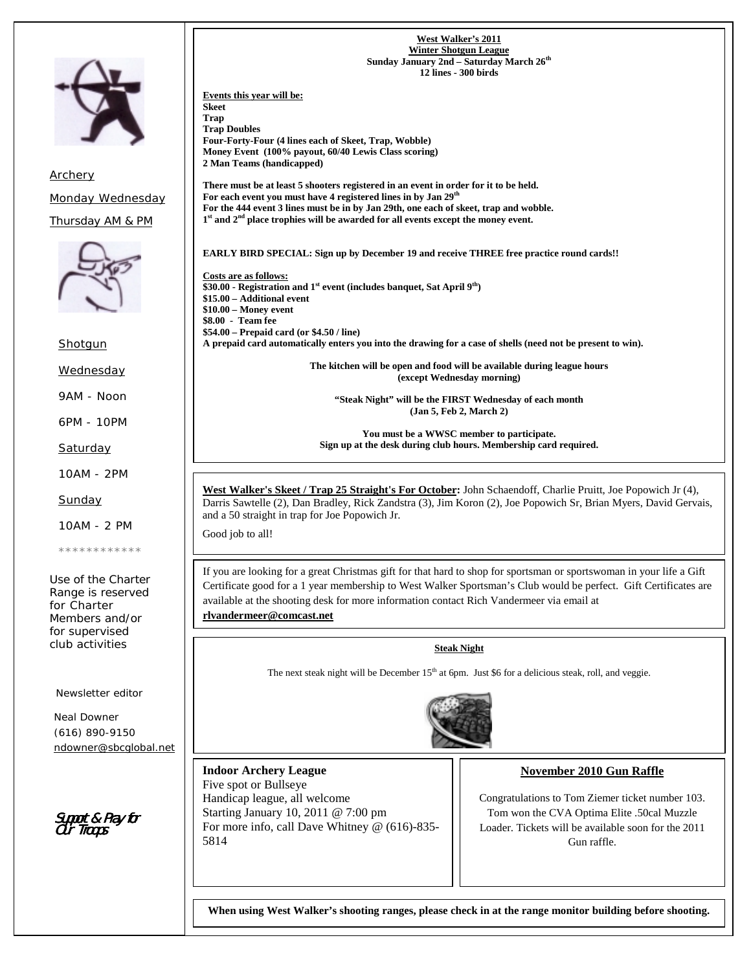

*Archery Monday Wednesday Thursday AM & PM*



*Shotgun*

*Wednesday*

*9AM - Noon*

*6PM - 10PM*

*Saturday*

*10AM - 2PM*

*Sunday*

*10AM - 2 PM*

*\*\*\*\*\*\*\*\*\*\*\*\**

*Use of the Charter Range is reserved for Charter Members and/or for supervised club activities*

*Newsletter editor*

*Neal Downer (616) 890-9150 ndowner@sbcglobal.net*

Support & Pray for Support & Pray for Our Troops

**Winter Shotgun League Sunday January 2nd – Saturday March 26th 12 lines - 300 birds Events this year will be: Skeet Trap Trap Doubles Four-Forty-Four (4 lines each of Skeet, Trap, Wobble) Money Event (100% payout, 60/40 Lewis Class scoring) 2 Man Teams (handicapped) There must be at least 5 shooters registered in an event in order for it to be held. For each event you must have 4 registered lines in by Jan 29th For the 444 event 3 lines must be in by Jan 29th, one each of skeet, trap and wobble. 1st and 2nd place trophies will be awarded for all events except the money event. EARLY BIRD SPECIAL: Sign up by December 19 and receive THREE free practice round cards!! Costs are as follows: \$30.00 - Registration and 1st event (includes banquet, Sat April 9th) \$15.00 – Additional event \$10.00 – Money event \$8.00 - Team fee \$54.00 – Prepaid card (or \$4.50 / line) A prepaid card automatically enters you into the drawing for a case of shells (need not be present to win). The kitchen will be open and food will be available during league hours (except Wednesday morning)**

**West Walker's 2011**

**"Steak Night" will be the FIRST Wednesday of each month (Jan 5, Feb 2, March 2)**

**You must be a WWSC member to participate. Sign up at the desk during club hours. Membership card required.**

**West Walker's Skeet / Trap 25 Straight's For October:** John Schaendoff, Charlie Pruitt, Joe Popowich Jr (4), Darris Sawtelle (2), Dan Bradley, Rick Zandstra (3), Jim Koron (2), Joe Popowich Sr, Brian Myers, David Gervais, and a 50 straight in trap for Joe Popowich Jr.

Good job to all!

If you are looking for a great Christmas gift for that hard to shop for sportsman or sportswoman in your life a Gift Certificate good for a 1 year membership to West Walker Sportsman's Club would be perfect. Gift Certificates are available at the shooting desk for more information contact Rich Vandermeer via email at **rlvandermeer@comcast.net**

#### **Steak Night**

The next steak night will be December  $15<sup>th</sup>$  at 6pm. Just \$6 for a delicious steak, roll, and veggie.



**Indoor Archery League** Five spot or Bullseye Handicap league, all welcome Starting January 10, 2011 @ 7:00 pm For more info, call Dave Whitney @ (616)-835- 5814

#### **November 2010 Gun Raffle**

Congratulations to Tom Ziemer ticket number 103. Tom won the CVA Optima Elite .50cal Muzzle Loader. Tickets will be available soon for the 2011 Gun raffle.

**When using West Walker's shooting ranges, please check in at the range monitor building before shooting.**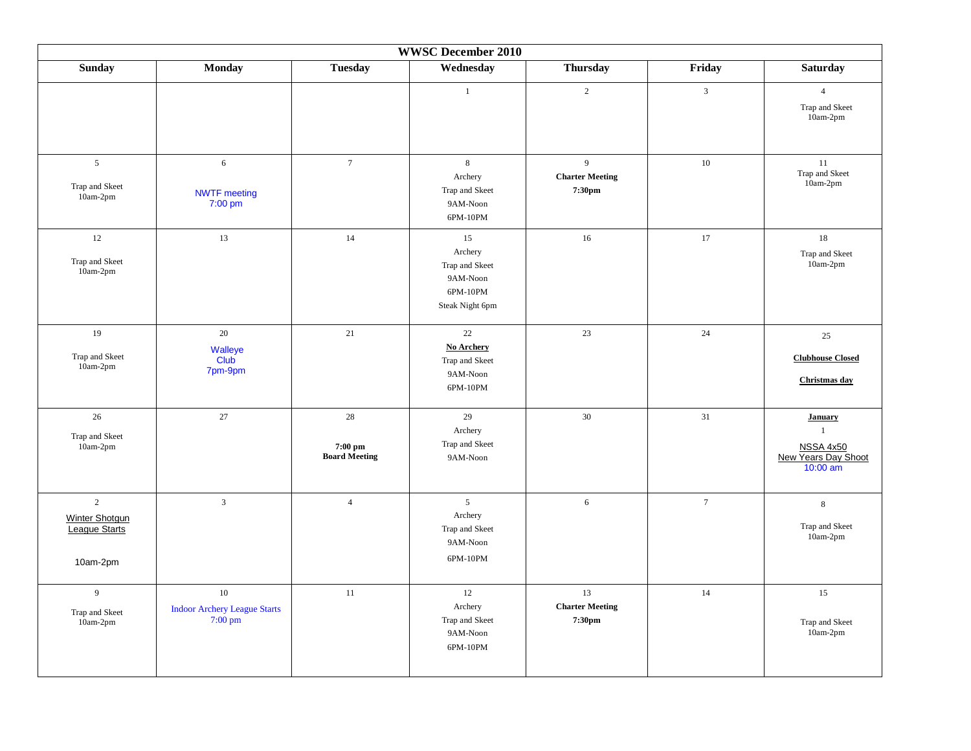| <b>WWSC December 2010</b>                                            |                                                                |                                           |                                                                            |                                                    |                 |                                                                                         |  |
|----------------------------------------------------------------------|----------------------------------------------------------------|-------------------------------------------|----------------------------------------------------------------------------|----------------------------------------------------|-----------------|-----------------------------------------------------------------------------------------|--|
| <b>Sunday</b>                                                        | <b>Monday</b>                                                  | <b>Tuesday</b>                            | Wednesday                                                                  | Thursday                                           | Friday          | <b>Saturday</b>                                                                         |  |
|                                                                      |                                                                |                                           | $\mathbf{1}$                                                               | $\overline{c}$                                     | $\mathfrak{Z}$  | $\overline{4}$<br>Trap and Skeet<br>$10am-2pm$                                          |  |
| $\sqrt{5}$<br>Trap and Skeet<br>$10am-2pm$                           | 6<br><b>NWTF</b> meeting<br>$7:00$ pm                          | $\overline{7}$                            | $\,8\,$<br>Archery<br>Trap and Skeet<br>9AM-Noon<br>6PM-10PM               | $\overline{9}$<br><b>Charter Meeting</b><br>7:30pm | $10\,$          | $11\,$<br>Trap and Skeet<br>$10am-2pm$                                                  |  |
| $12\,$<br>Trap and Skeet<br>10am-2pm                                 | 13                                                             | 14                                        | 15<br>Archery<br>Trap and Skeet<br>9AM-Noon<br>6PM-10PM<br>Steak Night 6pm | 16                                                 | 17              | $18\,$<br>Trap and Skeet<br>10am-2pm                                                    |  |
| 19<br>Trap and Skeet<br>$10am-2pm$                                   | 20<br>Walleye<br><b>Club</b><br>7pm-9pm                        | 21                                        | 22<br><b>No Archery</b><br>Trap and Skeet<br>9AM-Noon<br>6PM-10PM          | 23                                                 | 24              | 25<br><b>Clubhouse Closed</b><br>Christmas day                                          |  |
| $26\,$<br>Trap and Skeet<br>$10am-2pm$                               | $27\,$                                                         | $28\,$<br>7:00 pm<br><b>Board Meeting</b> | 29<br>Archery<br>Trap and Skeet<br>9AM-Noon                                | $30\,$                                             | 31              | <b>January</b><br>$\mathbf{1}$<br><b>NSSA 4x50</b><br>New Years Day Shoot<br>$10:00$ am |  |
| $\overline{c}$<br>Winter Shotgun<br><b>League Starts</b><br>10am-2pm | $\mathbf{3}$                                                   | $\overline{4}$                            | $\overline{5}$<br>Archery<br>Trap and Skeet<br>9AM-Noon<br>6PM-10PM        | 6                                                  | $7\overline{ }$ | $8\,$<br>Trap and Skeet<br>10am-2pm                                                     |  |
| $\overline{9}$<br>Trap and Skeet<br>10am-2pm                         | 10<br><b>Indoor Archery League Starts</b><br>$7:00 \text{ pm}$ | 11                                        | $12 \,$<br>Archery<br>Trap and Skeet<br>9AM-Noon<br>6PM-10PM               | 13<br><b>Charter Meeting</b><br>7:30pm             | $14\,$          | 15<br>Trap and Skeet<br>$10am-2pm$                                                      |  |